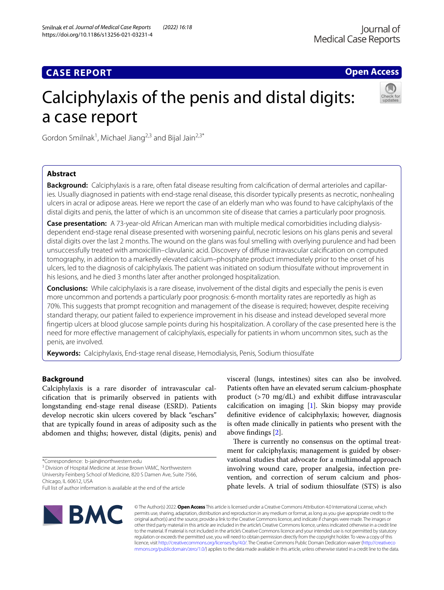# **CASE REPORT**

**Open Access**

# Calciphylaxis of the penis and distal digits: a case report



Gordon Smilnak<sup>1</sup>, Michael Jiang<sup>2,3</sup> and Bijal Jain<sup>2,3\*</sup>

# **Abstract**

**Background:** Calciphylaxis is a rare, often fatal disease resulting from calcifcation of dermal arterioles and capillaries. Usually diagnosed in patients with end-stage renal disease, this disorder typically presents as necrotic, nonhealing ulcers in acral or adipose areas. Here we report the case of an elderly man who was found to have calciphylaxis of the distal digits and penis, the latter of which is an uncommon site of disease that carries a particularly poor prognosis.

**Case presentation:** A 73-year-old African American man with multiple medical comorbidities including dialysisdependent end-stage renal disease presented with worsening painful, necrotic lesions on his glans penis and several distal digits over the last 2 months. The wound on the glans was foul smelling with overlying purulence and had been unsuccessfully treated with amoxicillin–clavulanic acid. Discovery of difuse intravascular calcifcation on computed tomography, in addition to a markedly elevated calcium–phosphate product immediately prior to the onset of his ulcers, led to the diagnosis of calciphylaxis. The patient was initiated on sodium thiosulfate without improvement in his lesions, and he died 3 months later after another prolonged hospitalization.

**Conclusions:** While calciphylaxis is a rare disease, involvement of the distal digits and especially the penis is even more uncommon and portends a particularly poor prognosis: 6-month mortality rates are reportedly as high as 70%. This suggests that prompt recognition and management of the disease is required; however, despite receiving standard therapy, our patient failed to experience improvement in his disease and instead developed several more fngertip ulcers at blood glucose sample points during his hospitalization. A corollary of the case presented here is the need for more efective management of calciphylaxis, especially for patients in whom uncommon sites, such as the penis, are involved.

**Keywords:** Calciphylaxis, End-stage renal disease, Hemodialysis, Penis, Sodium thiosulfate

# **Background**

Calciphylaxis is a rare disorder of intravascular calcifcation that is primarily observed in patients with longstanding end-stage renal disease (ESRD). Patients develop necrotic skin ulcers covered by black "eschars" that are typically found in areas of adiposity such as the abdomen and thighs; however, distal (digits, penis) and

<sup>3</sup> Division of Hospital Medicine at Jesse Brown VAMC, Northwestern University Feinberg School of Medicine, 820 S Damen Ave, Suite 7566,

Chicago, IL 60612, USA

visceral (lungs, intestines) sites can also be involved. Patients often have an elevated serum calcium-phosphate product (>70 mg/dL) and exhibit difuse intravascular calcifcation on imaging [[1\]](#page-3-0). Skin biopsy may provide defnitive evidence of calciphylaxis; however, diagnosis is often made clinically in patients who present with the above fndings [\[2](#page-3-1)].

There is currently no consensus on the optimal treatment for calciphylaxis; management is guided by observational studies that advocate for a multimodal approach involving wound care, proper analgesia, infection prevention, and correction of serum calcium and phosphate levels. A trial of sodium thiosulfate (STS) is also



© The Author(s) 2022. **Open Access** This article is licensed under a Creative Commons Attribution 4.0 International License, which permits use, sharing, adaptation, distribution and reproduction in any medium or format, as long as you give appropriate credit to the original author(s) and the source, provide a link to the Creative Commons licence, and indicate if changes were made. The images or other third party material in this article are included in the article's Creative Commons licence, unless indicated otherwise in a credit line to the material. If material is not included in the article's Creative Commons licence and your intended use is not permitted by statutory regulation or exceeds the permitted use, you will need to obtain permission directly from the copyright holder. To view a copy of this licence, visit [http://creativecommons.org/licenses/by/4.0/.](http://creativecommons.org/licenses/by/4.0/) The Creative Commons Public Domain Dedication waiver ([http://creativeco](http://creativecommons.org/publicdomain/zero/1.0/) [mmons.org/publicdomain/zero/1.0/](http://creativecommons.org/publicdomain/zero/1.0/)) applies to the data made available in this article, unless otherwise stated in a credit line to the data.

<sup>\*</sup>Correspondence: b-jain@northwestern.edu

Full list of author information is available at the end of the article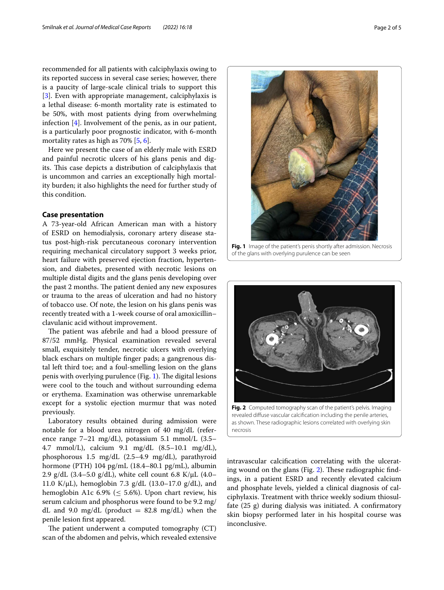recommended for all patients with calciphylaxis owing to its reported success in several case series; however, there is a paucity of large-scale clinical trials to support this [[3\]](#page-3-2). Even with appropriate management, calciphylaxis is a lethal disease: 6-month mortality rate is estimated to be 50%, with most patients dying from overwhelming infection [\[4](#page-3-3)]. Involvement of the penis, as in our patient, is a particularly poor prognostic indicator, with 6-month mortality rates as high as 70% [[5,](#page-3-4) [6](#page-3-5)].

Here we present the case of an elderly male with ESRD and painful necrotic ulcers of his glans penis and digits. This case depicts a distribution of calciphylaxis that is uncommon and carries an exceptionally high mortality burden; it also highlights the need for further study of this condition.

# **Case presentation**

A 73-year-old African American man with a history of ESRD on hemodialysis, coronary artery disease status post-high-risk percutaneous coronary intervention requiring mechanical circulatory support 3 weeks prior, heart failure with preserved ejection fraction, hypertension, and diabetes, presented with necrotic lesions on multiple distal digits and the glans penis developing over the past 2 months. The patient denied any new exposures or trauma to the areas of ulceration and had no history of tobacco use. Of note, the lesion on his glans penis was recently treated with a 1-week course of oral amoxicillin– clavulanic acid without improvement.

The patient was afebrile and had a blood pressure of 87/52 mmHg. Physical examination revealed several small, exquisitely tender, necrotic ulcers with overlying black eschars on multiple fnger pads; a gangrenous distal left third toe; and a foul-smelling lesion on the glans penis with overlying purulence (Fig. [1\)](#page-1-0). The digital lesions were cool to the touch and without surrounding edema or erythema. Examination was otherwise unremarkable except for a systolic ejection murmur that was noted previously.

Laboratory results obtained during admission were notable for a blood urea nitrogen of 40 mg/dL (reference range 7–21 mg/dL), potassium 5.1 mmol/L (3.5– 4.7 mmol/L), calcium 9.1 mg/dL (8.5–10.1 mg/dL), phosphorous 1.5 mg/dL (2.5–4.9 mg/dL), parathyroid hormone (PTH) 104 pg/mL (18.4–80.1 pg/mL), albumin 2.9 g/dL (3.4–5.0 g/dL), white cell count 6.8 K/ $\mu$ L (4.0– 11.0 K/μL), hemoglobin 7.3 g/dL (13.0–17.0 g/dL), and hemoglobin A1c 6.9% ( $\leq$  5.6%). Upon chart review, his serum calcium and phosphorus were found to be 9.2 mg/ dL and 9.0 mg/dL (product  $= 82.8$  mg/dL) when the penile lesion frst appeared.

The patient underwent a computed tomography  $(CT)$ scan of the abdomen and pelvis, which revealed extensive

<span id="page-1-0"></span>**Fig. 1** Image of the patient's penis shortly after admission. Necrosis of the glans with overlying purulence can be seen



<span id="page-1-1"></span>as shown. These radiographic lesions correlated with overlying skin

necrosis





ing wound on the glans (Fig.  $2$ ). These radiographic findings, in a patient ESRD and recently elevated calcium and phosphate levels, yielded a clinical diagnosis of calciphylaxis. Treatment with thrice weekly sodium thiosulfate (25 g) during dialysis was initiated. A confrmatory skin biopsy performed later in his hospital course was inconclusive.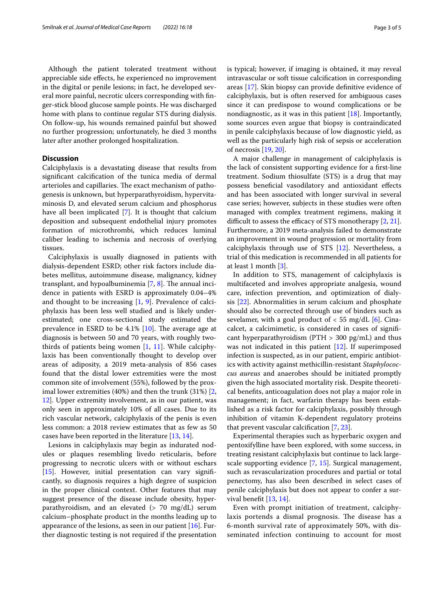Although the patient tolerated treatment without appreciable side efects, he experienced no improvement in the digital or penile lesions; in fact, he developed several more painful, necrotic ulcers corresponding with fnger-stick blood glucose sample points. He was discharged home with plans to continue regular STS during dialysis. On follow-up, his wounds remained painful but showed no further progression; unfortunately, he died 3 months later after another prolonged hospitalization.

# **Discussion**

Calciphylaxis is a devastating disease that results from signifcant calcifcation of the tunica media of dermal arterioles and capillaries. The exact mechanism of pathogenesis is unknown, but hyperparathyroidism, hypervitaminosis D, and elevated serum calcium and phosphorus have all been implicated [[7\]](#page-3-6). It is thought that calcium deposition and subsequent endothelial injury promotes formation of microthrombi, which reduces luminal caliber leading to ischemia and necrosis of overlying tissues.

Calciphylaxis is usually diagnosed in patients with dialysis-dependent ESRD; other risk factors include diabetes mellitus, autoimmune disease, malignancy, kidney transplant, and hypoalbuminemia  $[7, 8]$  $[7, 8]$  $[7, 8]$  $[7, 8]$ . The annual incidence in patients with ESRD is approximately 0.04–4% and thought to be increasing [[1,](#page-3-0) [9](#page-3-8)]. Prevalence of calciphylaxis has been less well studied and is likely underestimated; one cross-sectional study estimated the prevalence in ESRD to be  $4.1\%$  [[10\]](#page-3-9). The average age at diagnosis is between 50 and 70 years, with roughly twothirds of patients being women  $[1, 11]$  $[1, 11]$  $[1, 11]$ . While calciphylaxis has been conventionally thought to develop over areas of adiposity, a 2019 meta-analysis of 856 cases found that the distal lower extremities were the most common site of involvement (55%), followed by the proximal lower extremities (40%) and then the trunk (31%) [\[2](#page-3-1), [12\]](#page-3-11). Upper extremity involvement, as in our patient, was only seen in approximately 10% of all cases. Due to its rich vascular network, calciphylaxis of the penis is even less common: a 2018 review estimates that as few as 50 cases have been reported in the literature [\[13](#page-3-12), [14](#page-3-13)].

Lesions in calciphylaxis may begin as indurated nodules or plaques resembling livedo reticularis, before progressing to necrotic ulcers with or without eschars [[15\]](#page-3-14). However, initial presentation can vary significantly, so diagnosis requires a high degree of suspicion in the proper clinical context. Other features that may suggest presence of the disease include obesity, hyperparathyroidism, and an elevated (> 70 mg/dL) serum calcium–phosphate product in the months leading up to appearance of the lesions, as seen in our patient  $[16]$  $[16]$ . Further diagnostic testing is not required if the presentation is typical; however, if imaging is obtained, it may reveal intravascular or soft tissue calcifcation in corresponding areas [[17\]](#page-4-0). Skin biopsy can provide defnitive evidence of calciphylaxis, but is often reserved for ambiguous cases since it can predispose to wound complications or be nondiagnostic, as it was in this patient [[18](#page-4-1)]. Importantly, some sources even argue that biopsy is contraindicated in penile calciphylaxis because of low diagnostic yield, as well as the particularly high risk of sepsis or acceleration of necrosis [\[19](#page-4-2), [20\]](#page-4-3).

A major challenge in management of calciphylaxis is the lack of consistent supporting evidence for a frst-line treatment. Sodium thiosulfate (STS) is a drug that may possess benefcial vasodilatory and antioxidant efects and has been associated with longer survival in several case series; however, subjects in these studies were often managed with complex treatment regimens, making it difficult to assess the efficacy of STS monotherapy  $[2, 21]$  $[2, 21]$  $[2, 21]$  $[2, 21]$ . Furthermore, a 2019 meta-analysis failed to demonstrate an improvement in wound progression or mortality from calciphylaxis through use of STS [\[12](#page-3-11)]. Nevertheless, a trial of this medication is recommended in all patients for at least 1 month [[3\]](#page-3-2).

In addition to STS, management of calciphylaxis is multifaceted and involves appropriate analgesia, wound care, infection prevention, and optimization of dialysis [\[22](#page-4-5)]. Abnormalities in serum calcium and phosphate should also be corrected through use of binders such as sevelamer, with a goal product of  $<$  55 mg/dL [\[6](#page-3-5)]. Cinacalcet, a calcimimetic, is considered in cases of signifcant hyperparathyroidism (PTH > 300 pg/mL) and thus was not indicated in this patient  $[12]$ . If superimposed infection is suspected, as in our patient, empiric antibiotics with activity against methicillin-resistant *Staphylococcus aureus* and anaerobes should be initiated promptly given the high associated mortality risk. Despite theoretical benefts, anticoagulation does not play a major role in management; in fact, warfarin therapy has been established as a risk factor for calciphylaxis, possibly through inhibition of vitamin K-dependent regulatory proteins that prevent vascular calcifcation [[7,](#page-3-6) [23](#page-4-6)].

Experimental therapies such as hyperbaric oxygen and pentoxifylline have been explored, with some success, in treating resistant calciphylaxis but continue to lack largescale supporting evidence [\[7](#page-3-6), [15](#page-3-14)]. Surgical management, such as revascularization procedures and partial or total penectomy, has also been described in select cases of penile calciphylaxis but does not appear to confer a survival beneft [[13,](#page-3-12) [14\]](#page-3-13).

Even with prompt initiation of treatment, calciphylaxis portends a dismal prognosis. The disease has a 6-month survival rate of approximately 50%, with disseminated infection continuing to account for most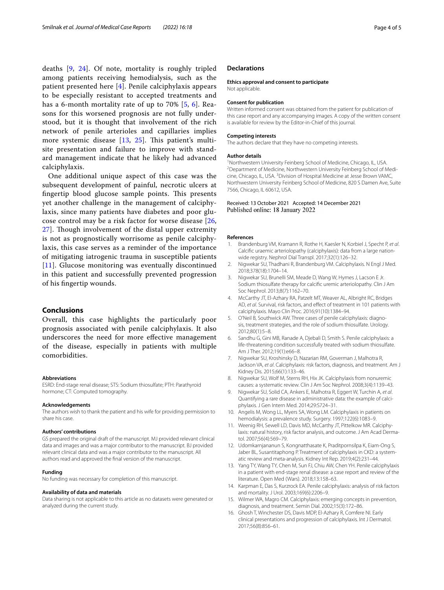deaths [[9,](#page-3-8) [24](#page-4-7)]. Of note, mortality is roughly tripled among patients receiving hemodialysis, such as the patient presented here [[4\]](#page-3-3). Penile calciphylaxis appears to be especially resistant to accepted treatments and has a 6-month mortality rate of up to 70% [[5,](#page-3-4) [6](#page-3-5)]. Reasons for this worsened prognosis are not fully understood, but it is thought that involvement of the rich network of penile arterioles and capillaries implies more systemic disease  $[13, 25]$  $[13, 25]$  $[13, 25]$ . This patient's multisite presentation and failure to improve with standard management indicate that he likely had advanced calciphylaxis.

One additional unique aspect of this case was the subsequent development of painful, necrotic ulcers at fingertip blood glucose sample points. This presents yet another challenge in the management of calciphylaxis, since many patients have diabetes and poor glucose control may be a risk factor for worse disease [\[26](#page-4-9), 27. Though involvement of the distal upper extremity is not as prognostically worrisome as penile calciphylaxis, this case serves as a reminder of the importance of mitigating iatrogenic trauma in susceptible patients [[11](#page-3-10)]. Glucose monitoring was eventually discontinued in this patient and successfully prevented progression of his fngertip wounds.

# **Conclusions**

Overall, this case highlights the particularly poor prognosis associated with penile calciphylaxis. It also underscores the need for more efective management of the disease, especially in patients with multiple comorbidities.

#### **Abbreviations**

ESRD: End-stage renal disease; STS: Sodium thiosulfate; PTH: Parathyroid hormone; CT: Computed tomography.

#### **Acknowledgements**

The authors wish to thank the patient and his wife for providing permission to share his case.

#### **Authors' contributions**

GS prepared the original draft of the manuscript. MJ provided relevant clinical data and images and was a major contributor to the manuscript. BJ provided relevant clinical data and was a major contributor to the manuscript. All authors read and approved the fnal version of the manuscript.

### **Funding**

No funding was necessary for completion of this manuscript.

#### **Availability of data and materials**

Data sharing is not applicable to this article as no datasets were generated or analyzed during the current study.

## **Declarations**

# **Ethics approval and consent to participate**

Not applicable.

#### **Consent for publication**

Written informed consent was obtained from the patient for publication of this case report and any accompanying images. A copy of the written consent is available for review by the Editor-in-Chief of this journal.

#### **Competing interests**

The authors declare that they have no competing interests.

#### **Author details**

<sup>1</sup> Northwestern University Feinberg School of Medicine, Chicago, IL, USA.<br><sup>2</sup> Department of Medicine, Northwestern University Feinberg School of M <sup>2</sup> Department of Medicine, Northwestern University Feinberg School of Medicine, Chicago, IL, USA.<sup>3</sup> Division of Hospital Medicine at Jesse Brown VAMC, Northwestern University Feinberg School of Medicine, 820 S Damen Ave, Suite 7566, Chicago, IL 60612, USA.

## Received: 13 October 2021 Accepted: 14 December 2021 Published online: 18 January 2022

#### **References**

- <span id="page-3-0"></span>1. Brandenburg VM, Kramann R, Rothe H, Kaesler N, Korbiel J, Specht P, *et al*. Calcifc uraemic arteriolopathy (calciphylaxis): data from a large nationwide registry. Nephrol Dial Transpl. 2017;32(1):126–32.
- <span id="page-3-1"></span>2. Nigwekar SU, Thadhani R, Brandenburg VM. Calciphylaxis. N Engl J Med. 2018;378(18):1704–14.
- <span id="page-3-2"></span>3. Nigwekar SU, Brunelli SM, Meade D, Wang W, Hymes J, Lacson E Jr. Sodium thiosulfate therapy for calcifc uremic arteriolopathy. Clin J Am Soc Nephrol. 2013;8(7):1162–70.
- <span id="page-3-3"></span>4. McCarthy JT, El-Azhary RA, Patzelt MT, Weaver AL, Albright RC, Bridges AD, *et al*. Survival, risk factors, and efect of treatment in 101 patients with calciphylaxis. Mayo Clin Proc. 2016;91(10):1384–94.
- <span id="page-3-4"></span>5. O'Neil B, Southwick AW. Three cases of penile calciphylaxis: diagnosis, treatment strategies, and the role of sodium thiosulfate. Urology. 2012;80(1):5–8.
- <span id="page-3-5"></span>6. Sandhu G, Gini MB, Ranade A, Djebali D, Smith S. Penile calciphylaxis: a life-threatening condition successfully treated with sodium thiosulfate. Am J Ther. 2012;19(1):e66–8.
- <span id="page-3-6"></span>7. Nigwekar SU, Kroshinsky D, Nazarian RM, Goverman J, Malhotra R, Jackson VA, *et al*. Calciphylaxis: risk factors, diagnosis, and treatment. Am J Kidney Dis. 2015;66(1):133–46.
- <span id="page-3-7"></span>8. Nigwekar SU, Wolf M, Sterns RH, Hix JK. Calciphylaxis from nonuremic causes: a systematic review. Clin J Am Soc Nephrol. 2008;3(4):1139–43.
- <span id="page-3-8"></span>9. Nigwekar SU, Solid CA, Ankers E, Malhotra R, Eggert W, Turchin A, *et al*. Quantifying a rare disease in administrative data: the example of calciphylaxis. J Gen Intern Med. 2014;29:S724–31.
- <span id="page-3-9"></span>10. Angelis M, Wong LL, Myers SA, Wong LM. Calciphylaxis in patients on hemodialysis: a prevalence study. Surgery. 1997;122(6):1083–9.
- <span id="page-3-10"></span>11. Weenig RH, Sewell LD, Davis MD, McCarthy JT, Pittelkow MR. Calciphylaxis: natural history, risk factor analysis, and outcome. J Am Acad Dermatol. 2007;56(4):569–79.
- <span id="page-3-11"></span>12. Udomkarnjananun S, Kongnatthasate K, Praditpornsilpa K, Eiam-Ong S, Jaber BL, Susantitaphong P. Treatment of calciphylaxis in CKD: a systematic review and meta-analysis. Kidney Int Rep. 2019;4(2):231–44.
- <span id="page-3-12"></span>13. Yang TY, Wang TY, Chen M, Sun FJ, Chiu AW, Chen YH. Penile calciphylaxis in a patient with end-stage renal disease: a case report and review of the literature. Open Med (Wars). 2018;13:158–63.
- <span id="page-3-13"></span>14. Karpman E, Das S, Kurzrock EA. Penile calciphylaxis: analysis of risk factors and mortality. J Urol. 2003;169(6):2206–9.
- <span id="page-3-14"></span>15. Wilmer WA, Magro CM. Calciphylaxis: emerging concepts in prevention, diagnosis, and treatment. Semin Dial. 2002;15(3):172–86.
- <span id="page-3-15"></span>16. Ghosh T, Winchester DS, Davis MDP, El-Azhary R, Comfere NI. Early clinical presentations and progression of calciphylaxis. Int J Dermatol. 2017;56(8):856–61.